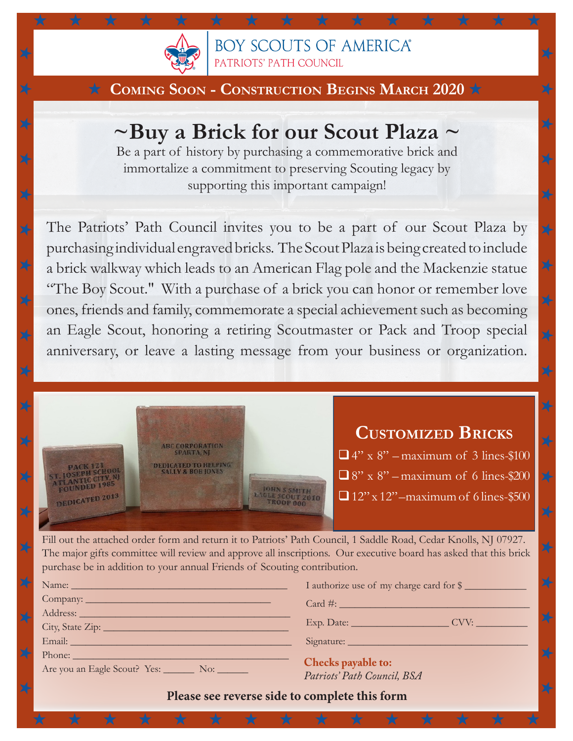

**BOY SCOUTS OF AMERICA®** PATRIOTS' PATH COUNCIL

X

X

## ★ **Coming Soon - Construction Begins March 2020** ★

★ ★ ★ ★ ★ ★ ★ ★ ★ ★ ★ ★ ★ ★ ★

# **~Buy a Brick for our Scout Plaza ~**

Be a part of history by purchasing a commemorative brick and immortalize a commitment to preserving Scouting legacy by supporting this important campaign!

The Patriots' Path Council invites you to be a part of our Scout Plaza by purchasing individual engraved bricks. The Scout Plaza is being created to include a brick walkway which leads to an American Flag pole and the Mackenzie statue "The Boy Scout." With a purchase of a brick you can honor or remember love ones, friends and family, commemorate a special achievement such as becoming an Eagle Scout, honoring a retiring Scoutmaster or Pack and Troop special anniversary, or leave a lasting message from your business or organization.



Fill out the attached order form and return it to Patriots' Path Council, 1 Saddle Road, Cedar Knolls, NJ 07927. The major gifts committee will review and approve all inscriptions. Our executive board has asked that this brick purchase be in addition to your annual Friends of Scouting contribution.

| Name: Name:                                                                                                   | I authorize use of my charge card for \$ |  |  |  |  |  |  |  |
|---------------------------------------------------------------------------------------------------------------|------------------------------------------|--|--|--|--|--|--|--|
|                                                                                                               | $Card \#$ :                              |  |  |  |  |  |  |  |
|                                                                                                               |                                          |  |  |  |  |  |  |  |
|                                                                                                               | Exp. Date: CVV:                          |  |  |  |  |  |  |  |
|                                                                                                               |                                          |  |  |  |  |  |  |  |
| Phone: 2008 - 2008 - 2008 - 2019 - 2019 - 2019 - 2019 - 2019 - 2019 - 2019 - 2019 - 2019 - 2019 - 2019 - 2019 |                                          |  |  |  |  |  |  |  |
| Are you an Eagle Scout? Yes: No: No:                                                                          | Checks payable to:                       |  |  |  |  |  |  |  |
|                                                                                                               | Patriots' Path Council, BSA              |  |  |  |  |  |  |  |
|                                                                                                               |                                          |  |  |  |  |  |  |  |

**Please see reverse side to complete this form**

★ ★ ★ ★ ★ ★ ★ ★ ★ ★ ★ ★ ★ ★ ★